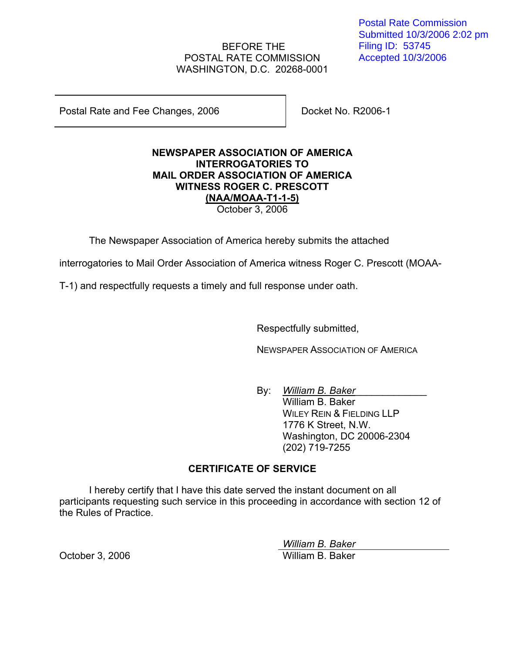# BEFORE THE POSTAL RATE COMMISSION WASHINGTON, D.C. 20268-0001

Postal Rate and Fee Changes, 2006 Docket No. R2006-1

### **NEWSPAPER ASSOCIATION OF AMERICA INTERROGATORIES TO MAIL ORDER ASSOCIATION OF AMERICA WITNESS ROGER C. PRESCOTT (NAA/MOAA-T1-1-5)** October 3, 2006

The Newspaper Association of America hereby submits the attached

interrogatories to Mail Order Association of America witness Roger C. Prescott (MOAA-

T-1) and respectfully requests a timely and full response under oath.

Respectfully submitted,

NEWSPAPER ASSOCIATION OF AMERICA

By: William B. Baker William B. Baker WILEY REIN & FIELDING LLP 1776 K Street, N.W. Washington, DC 20006-2304 (202) 719-7255

# **CERTIFICATE OF SERVICE**

I hereby certify that I have this date served the instant document on all participants requesting such service in this proceeding in accordance with section 12 of the Rules of Practice.

 *William B. Baker* October 3, 2006 William B. Baker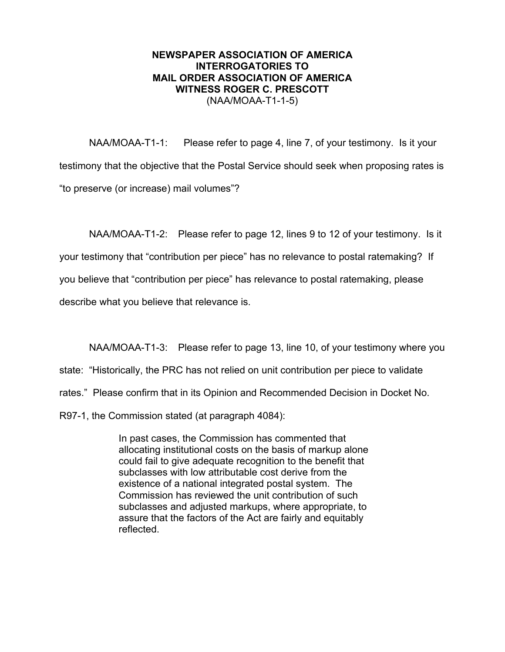#### **NEWSPAPER ASSOCIATION OF AMERICA INTERROGATORIES TO MAIL ORDER ASSOCIATION OF AMERICA WITNESS ROGER C. PRESCOTT**  (NAA/MOAA-T1-1-5)

NAA/MOAA-T1-1: Please refer to page 4, line 7, of your testimony. Is it your testimony that the objective that the Postal Service should seek when proposing rates is "to preserve (or increase) mail volumes"?

NAA/MOAA-T1-2: Please refer to page 12, lines 9 to 12 of your testimony. Is it

your testimony that "contribution per piece" has no relevance to postal ratemaking? If

you believe that "contribution per piece" has relevance to postal ratemaking, please

describe what you believe that relevance is.

NAA/MOAA-T1-3: Please refer to page 13, line 10, of your testimony where you

state: "Historically, the PRC has not relied on unit contribution per piece to validate

rates." Please confirm that in its Opinion and Recommended Decision in Docket No.

R97-1, the Commission stated (at paragraph 4084):

In past cases, the Commission has commented that allocating institutional costs on the basis of markup alone could fail to give adequate recognition to the benefit that subclasses with low attributable cost derive from the existence of a national integrated postal system. The Commission has reviewed the unit contribution of such subclasses and adjusted markups, where appropriate, to assure that the factors of the Act are fairly and equitably reflected.